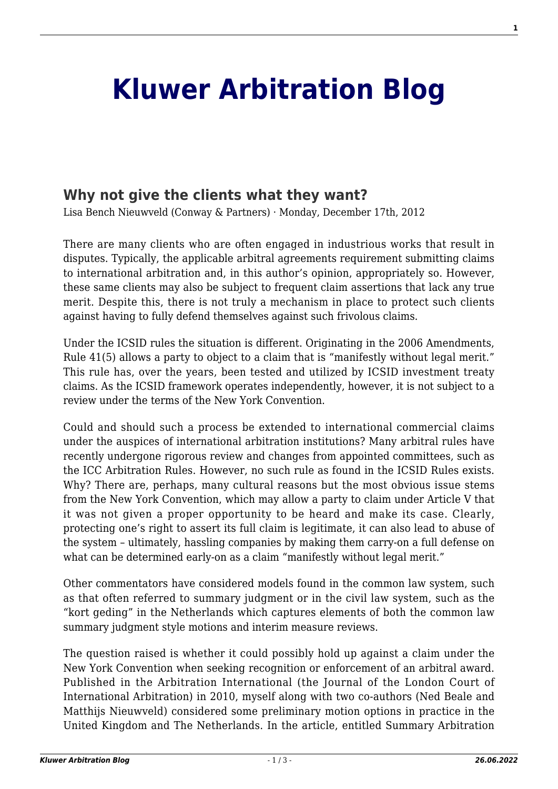## **[Kluwer Arbitration Blog](http://arbitrationblog.kluwerarbitration.com/)**

## **[Why not give the clients what they want?](http://arbitrationblog.kluwerarbitration.com/2012/12/17/why-not-give-the-clients-what-they-want/)**

Lisa Bench Nieuwveld (Conway & Partners) · Monday, December 17th, 2012

There are many clients who are often engaged in industrious works that result in disputes. Typically, the applicable arbitral agreements requirement submitting claims to international arbitration and, in this author's opinion, appropriately so. However, these same clients may also be subject to frequent claim assertions that lack any true merit. Despite this, there is not truly a mechanism in place to protect such clients against having to fully defend themselves against such frivolous claims.

Under the ICSID rules the situation is different. Originating in the 2006 Amendments, Rule 41(5) allows a party to object to a claim that is "manifestly without legal merit." This rule has, over the years, been tested and utilized by ICSID investment treaty claims. As the ICSID framework operates independently, however, it is not subject to a review under the terms of the New York Convention.

Could and should such a process be extended to international commercial claims under the auspices of international arbitration institutions? Many arbitral rules have recently undergone rigorous review and changes from appointed committees, such as the ICC Arbitration Rules. However, no such rule as found in the ICSID Rules exists. Why? There are, perhaps, many cultural reasons but the most obvious issue stems from the New York Convention, which may allow a party to claim under Article V that it was not given a proper opportunity to be heard and make its case. Clearly, protecting one's right to assert its full claim is legitimate, it can also lead to abuse of the system – ultimately, hassling companies by making them carry-on a full defense on what can be determined early-on as a claim "manifestly without legal merit."

Other commentators have considered models found in the common law system, such as that often referred to summary judgment or in the civil law system, such as the "kort geding" in the Netherlands which captures elements of both the common law summary judgment style motions and interim measure reviews.

The question raised is whether it could possibly hold up against a claim under the New York Convention when seeking recognition or enforcement of an arbitral award. Published in the Arbitration International (the Journal of the London Court of International Arbitration) in 2010, myself along with two co-authors (Ned Beale and Matthijs Nieuwveld) considered some preliminary motion options in practice in the United Kingdom and The Netherlands. In the article, entitled Summary Arbitration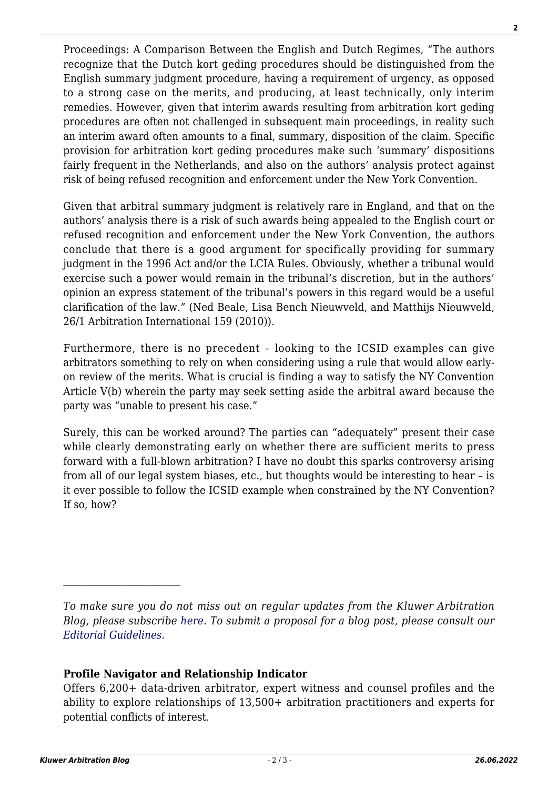Proceedings: A Comparison Between the English and Dutch Regimes, "The authors recognize that the Dutch kort geding procedures should be distinguished from the English summary judgment procedure, having a requirement of urgency, as opposed to a strong case on the merits, and producing, at least technically, only interim remedies. However, given that interim awards resulting from arbitration kort geding procedures are often not challenged in subsequent main proceedings, in reality such an interim award often amounts to a final, summary, disposition of the claim. Specific provision for arbitration kort geding procedures make such 'summary' dispositions fairly frequent in the Netherlands, and also on the authors' analysis protect against risk of being refused recognition and enforcement under the New York Convention.

Given that arbitral summary judgment is relatively rare in England, and that on the authors' analysis there is a risk of such awards being appealed to the English court or refused recognition and enforcement under the New York Convention, the authors conclude that there is a good argument for specifically providing for summary judgment in the 1996 Act and/or the LCIA Rules. Obviously, whether a tribunal would exercise such a power would remain in the tribunal's discretion, but in the authors' opinion an express statement of the tribunal's powers in this regard would be a useful clarification of the law." (Ned Beale, Lisa Bench Nieuwveld, and Matthijs Nieuwveld, 26/1 Arbitration International 159 (2010)).

Furthermore, there is no precedent – looking to the ICSID examples can give arbitrators something to rely on when considering using a rule that would allow earlyon review of the merits. What is crucial is finding a way to satisfy the NY Convention Article V(b) wherein the party may seek setting aside the arbitral award because the party was "unable to present his case."

Surely, this can be worked around? The parties can "adequately" present their case while clearly demonstrating early on whether there are sufficient merits to press forward with a full-blown arbitration? I have no doubt this sparks controversy arising from all of our legal system biases, etc., but thoughts would be interesting to hear – is it ever possible to follow the ICSID example when constrained by the NY Convention? If so, how?

## **Profile Navigator and Relationship Indicator**

 $\mathcal{L}_\text{max}$ 

*To make sure you do not miss out on regular updates from the Kluwer Arbitration Blog, please subscribe [here](http://arbitrationblog.kluwerarbitration.com/newsletter/). To submit a proposal for a blog post, please consult our [Editorial Guidelines.](http://arbitrationblog.kluwerarbitration.com/editorial-guidelines/)*

Offers 6,200+ data-driven arbitrator, expert witness and counsel profiles and the ability to explore relationships of 13,500+ arbitration practitioners and experts for potential conflicts of interest.